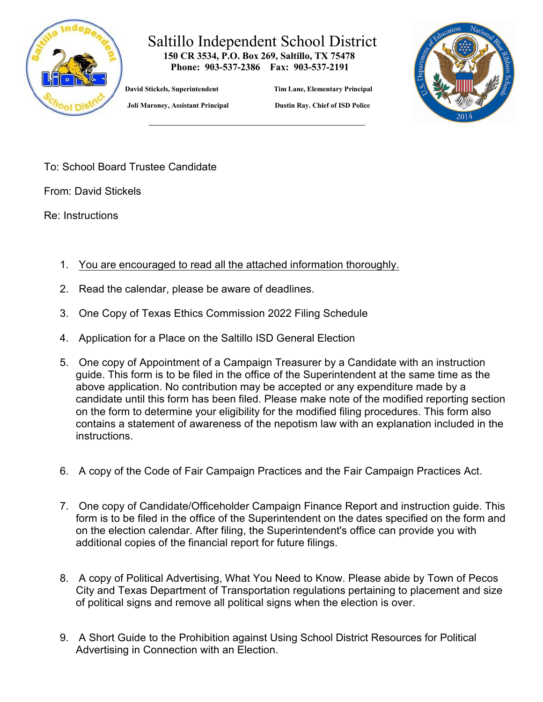

## Saltillo Independent School District  **150 CR 3534, P.O. Box 269, Saltillo, TX 75478**

 **Phone: 903-537-2386 Fax: 903-537-2191** 

 **\_\_\_\_\_\_\_\_\_\_\_\_\_\_\_\_\_\_\_\_\_\_\_\_\_\_\_\_\_\_\_\_\_\_\_\_\_\_\_\_\_\_\_\_\_\_\_\_\_\_\_\_\_\_\_\_\_\_\_\_\_**

 **David Stickels, Superintendent Tim Lane, Elementary Principal** 



 **Joli Maroney, Assistant Principal Dustin Ray. Chief of ISD Police**

To: School Board Trustee Candidate

From: David Stickels

Re: Instructions

- 1. You are encouraged to read all the attached information thoroughly.
- 2. Read the calendar, please be aware of deadlines.
- 3. One Copy of Texas Ethics Commission 2022 Filing Schedule
- 4. Application for a Place on the Saltillo ISD General Election
- 5. One copy of Appointment of a Campaign Treasurer by a Candidate with an instruction guide. This form is to be filed in the office of the Superintendent at the same time as the above application. No contribution may be accepted or any expenditure made by a candidate until this form has been filed. Please make note of the modified reporting section on the form to determine your eligibility for the modified filing procedures. This form also contains a statement of awareness of the nepotism law with an explanation included in the instructions.
- 6. A copy of the Code of Fair Campaign Practices and the Fair Campaign Practices Act.
- 7. One copy of Candidate/Officeholder Campaign Finance Report and instruction guide. This form is to be filed in the office of the Superintendent on the dates specified on the form and on the election calendar. After filing, the Superintendent's office can provide you with additional copies of the financial report for future filings.
- 8. A copy of Political Advertising, What You Need to Know. Please abide by Town of Pecos City and Texas Department of Transportation regulations pertaining to placement and size of political signs and remove all political signs when the election is over.
- 9. A Short Guide to the Prohibition against Using School District Resources for Political Advertising in Connection with an Election.